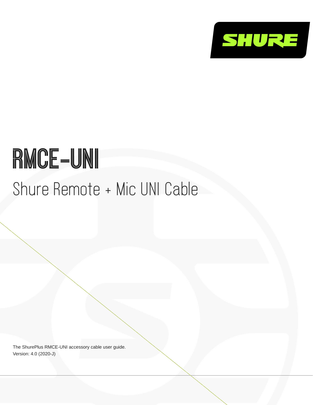

# RMCE-UNI Shure Remote + Mic UNI Cable

The ShurePlus RMCE-UNI accessory cable user guide. Version: 4.0 (2020-J)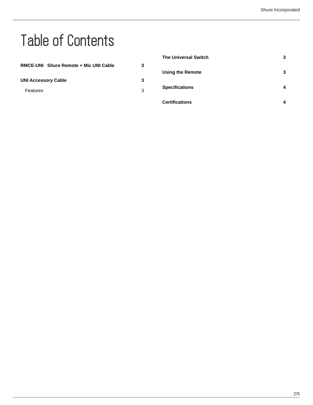# Table of Contents

|                                       |   | <b>The Universal Switch</b> | 3 |
|---------------------------------------|---|-----------------------------|---|
| RMCE-UNI Shure Remote + Mic UNI Cable | 3 |                             |   |
|                                       |   | <b>Using the Remote</b>     | 3 |
| <b>UNI Accessory Cable</b>            | 3 |                             |   |
| Features                              | 3 | <b>Specifications</b>       | 4 |
|                                       |   | <b>Certifications</b>       | 4 |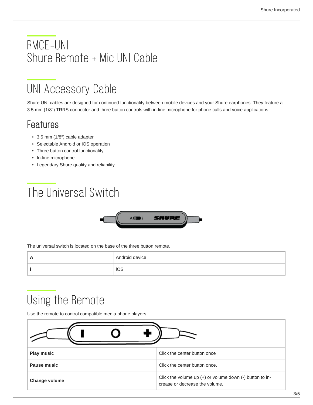#### <span id="page-2-0"></span>RMCE-UNI Shure Remote + Mic UNI Cable

#### <span id="page-2-1"></span>UNI Accessory Cable

Shure UNI cables are designed for continued functionality between mobile devices and your Shure earphones. They feature a 3.5 mm (1/8″) TRRS connector and three button controls with in-line microphone for phone calls and voice applications.

#### <span id="page-2-2"></span>Features

- 3.5 mm (1/8″) cable adapter
- Selectable Android or iOS operation
- Three button control functionality
- In-line microphone
- Legendary Shure quality and reliability

### <span id="page-2-3"></span>The Universal Switch



The universal switch is located on the base of the three button remote.

| Android device |
|----------------|
| iOS            |

## <span id="page-2-4"></span>Using the Remote

Use the remote to control compatible media phone players.

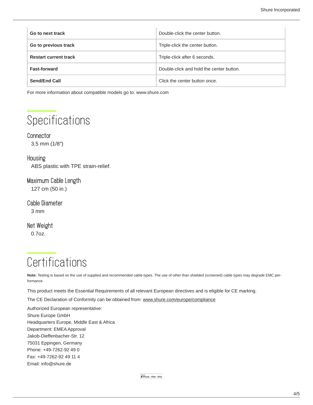| Go to next track             | Double-click the center button.          |
|------------------------------|------------------------------------------|
| Go to previous track         | Triple-click the center button.          |
| <b>Restart current track</b> | Triple-click after 6 seconds.            |
| <b>Fast-forward</b>          | Double-click and hold the center button. |
| Send/End Call                | Click the center button once.            |

For more information about compatible models go to: www.shure.com

#### <span id="page-3-0"></span>**Specifications**

#### **Connector**

3.5 mm (1/8″)

#### **Housing**

ABS plastic with TPE strain-relief.

Maximum Cable Length

127 cm (50 in.)

Cable Diameter

3 mm

Net Weight

0.7oz.

### <span id="page-3-1"></span>**Certifications**

**Note:** Testing is based on the use of supplied and recommended cable types. The use of other than shielded (screened) cable types may degrade EMC performance.

This product meets the Essential Requirements of all relevant European directives and is eligible for CE marking.

The CE Declaration of Conformity can be obtained from: www.shure.com/europe/compliance

Authorized European representative: Shure Europe GmbH Headquarters Europe, Middle East & Africa Department: EMEA Approval Jakob-Dieffenbacher-Str. 12 75031 Eppingen, Germany Phone: +49-7262-92 49 0 Fax: +49-7262-92 49 11 4 Email: info@shure.de

 $\begin{bmatrix} \frac{\text{Mosto for}}{\text{if}} \\ \text{if } \text{iPhone} \mid \text{iPad} \mid \text{iPod} \end{bmatrix}$